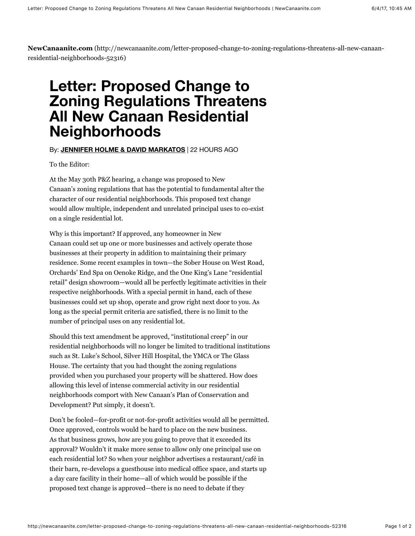**NewCanaanite.com** (http://newcanaanite.com/letter-proposed-change-to-zoning-regulations-threatens-all-new-canaanresidential-neighborhoods-52316)

## **Letter: Proposed Change to Zoning Regulations Threatens All New Canaan Residential Neighborhoods**

## By: **[JENNIFER HOLME & DAVID MARKATOS](http://newcanaanite.com/author/david-markatos)** | 22 HOURS AGO

To the Editor:

At the May 30th P&Z hearing, a change was proposed to New Canaan's zoning regulations that has the potential to fundamental alter the character of our residential neighborhoods. This proposed text change would allow multiple, independent and unrelated principal uses to co-exist on a single residential lot.

Why is this important? If approved, any homeowner in New Canaan could set up one or more businesses and actively operate those businesses at their property in addition to maintaining their primary residence. Some recent examples in town—the Sober House on West Road, Orchards' End Spa on Oenoke Ridge, and the One King's Lane "residential retail" design showroom—would all be perfectly legitimate activities in their respective neighborhoods. With a special permit in hand, each of these businesses could set up shop, operate and grow right next door to you. As long as the special permit criteria are satisfied, there is no limit to the number of principal uses on any residential lot.

Should this text amendment be approved, "institutional creep" in our residential neighborhoods will no longer be limited to traditional institutions such as St. Luke's School, Silver Hill Hospital, the YMCA or The Glass House. The certainty that you had thought the zoning regulations provided when you purchased your property will be shattered. How does allowing this level of intense commercial activity in our residential neighborhoods comport with New Canaan's Plan of Conservation and Development? Put simply, it doesn't.

Don't be fooled—for-profit or not-for-profit activities would all be permitted. Once approved, controls would be hard to place on the new business. As that business grows, how are you going to prove that it exceeded its approval? Wouldn't it make more sense to allow only one principal use on each residential lot? So when your neighbor advertises a restaurant/café in their barn, re-develops a guesthouse into medical office space, and starts up a day care facility in their home—all of which would be possible if the proposed text change is approved—there is no need to debate if they